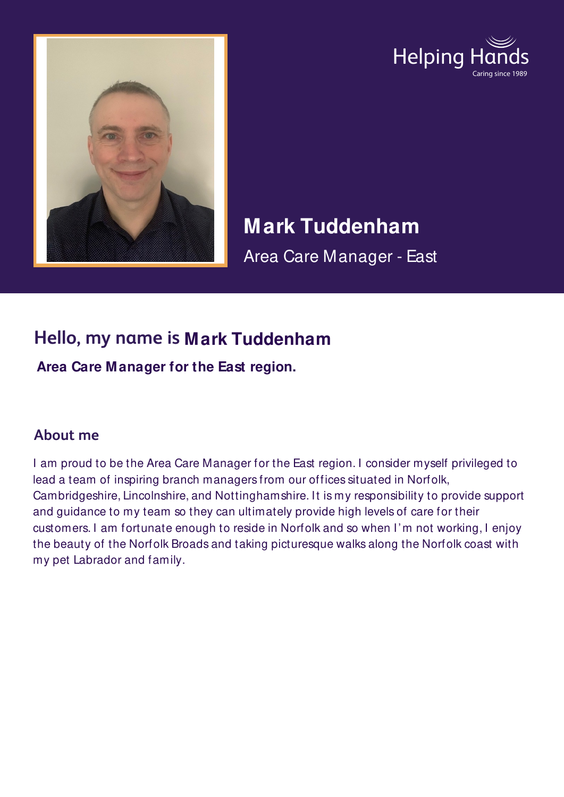



# **Mark Tuddenham**

Area Care Manager - East

## **Hello, my name is Mark Tuddenham**

**Area Care Manager for the East region.**

#### **About me**

I am proud to be the Area Care Manager for the East region. I consider myself privileged to lead a team of inspiring branch managers from our offices situated in Norfolk, Cambridgeshire, Lincolnshire, and Nottinghamshire. It is my responsibility to provide support and guidance to my team so they can ultimately provide high levels of care for their customers. I am fortunate enough to reside in Norfolk and so when I'm not working, I enjoy the beauty of the Norfolk Broads and taking picturesque walks along the Norfolk coast with my pet Labrador and family.